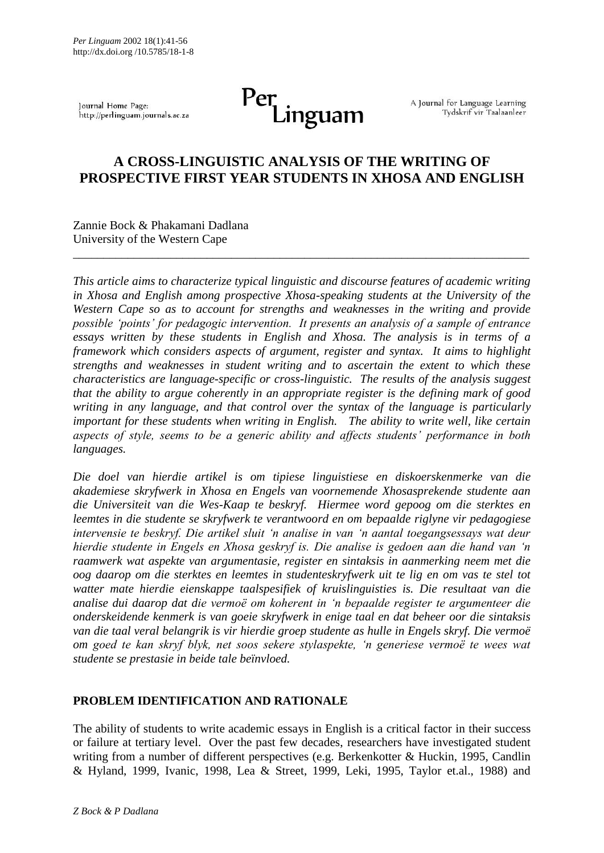Journal Home Page: http://perlinguam.journals.ac.za

# Per<br>Linguam

A Journal for Language Learning Tydskrif vir Taalaanleer

# **A CROSS-LINGUISTIC ANALYSIS OF THE WRITING OF PROSPECTIVE FIRST YEAR STUDENTS IN XHOSA AND ENGLISH**

\_\_\_\_\_\_\_\_\_\_\_\_\_\_\_\_\_\_\_\_\_\_\_\_\_\_\_\_\_\_\_\_\_\_\_\_\_\_\_\_\_\_\_\_\_\_\_\_\_\_\_\_\_\_\_\_\_\_\_\_\_\_\_\_\_\_\_\_\_\_\_\_\_\_\_

Zannie Bock & Phakamani Dadlana University of the Western Cape

*This article aims to characterize typical linguistic and discourse features of academic writing in Xhosa and English among prospective Xhosa-speaking students at the University of the Western Cape so as to account for strengths and weaknesses in the writing and provide possible 'points' for pedagogic intervention. It presents an analysis of a sample of entrance essays written by these students in English and Xhosa. The analysis is in terms of a framework which considers aspects of argument, register and syntax. It aims to highlight strengths and weaknesses in student writing and to ascertain the extent to which these characteristics are language-specific or cross-linguistic. The results of the analysis suggest that the ability to argue coherently in an appropriate register is the defining mark of good writing in any language, and that control over the syntax of the language is particularly important for these students when writing in English. The ability to write well, like certain aspects of style, seems to be a generic ability and affects students' performance in both languages.*

*Die doel van hierdie artikel is om tipiese linguistiese en diskoerskenmerke van die akademiese skryfwerk in Xhosa en Engels van voornemende Xhosasprekende studente aan die Universiteit van die Wes-Kaap te beskryf. Hiermee word gepoog om die sterktes en leemtes in die studente se skryfwerk te verantwoord en om bepaalde riglyne vir pedagogiese intervensie te beskryf. Die artikel sluit 'n analise in van 'n aantal toegangsessays wat deur hierdie studente in Engels en Xhosa geskryf is. Die analise is gedoen aan die hand van 'n raamwerk wat aspekte van argumentasie, register en sintaksis in aanmerking neem met die oog daarop om die sterktes en leemtes in studenteskryfwerk uit te lig en om vas te stel tot watter mate hierdie eienskappe taalspesifiek of kruislinguisties is. Die resultaat van die analise dui daarop dat die vermoë om koherent in 'n bepaalde register te argumenteer die onderskeidende kenmerk is van goeie skryfwerk in enige taal en dat beheer oor die sintaksis van die taal veral belangrik is vir hierdie groep studente as hulle in Engels skryf. Die vermoë om goed te kan skryf blyk, net soos sekere stylaspekte, 'n generiese vermoë te wees wat studente se prestasie in beide tale beïnvloed.* 

## **PROBLEM IDENTIFICATION AND RATIONALE**

The ability of students to write academic essays in English is a critical factor in their success or failure at tertiary level. Over the past few decades, researchers have investigated student writing from a number of different perspectives (e.g. Berkenkotter & Huckin, 1995, Candlin & Hyland, 1999, Ivanic, 1998, Lea & Street, 1999, Leki, 1995, Taylor et.al., 1988) and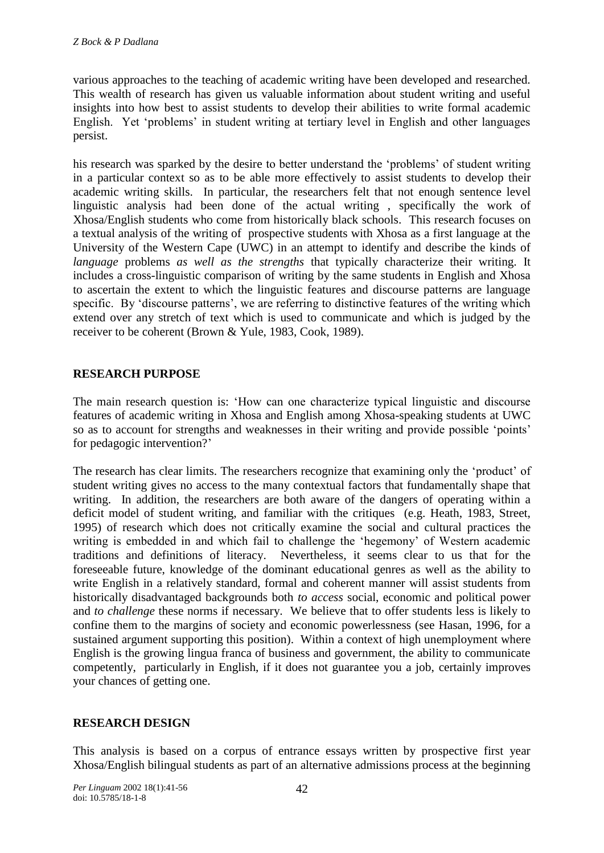various approaches to the teaching of academic writing have been developed and researched. This wealth of research has given us valuable information about student writing and useful insights into how best to assist students to develop their abilities to write formal academic English. Yet 'problems' in student writing at tertiary level in English and other languages persist.

his research was sparked by the desire to better understand the 'problems' of student writing in a particular context so as to be able more effectively to assist students to develop their academic writing skills. In particular, the researchers felt that not enough sentence level linguistic analysis had been done of the actual writing , specifically the work of Xhosa/English students who come from historically black schools. This research focuses on a textual analysis of the writing of prospective students with Xhosa as a first language at the University of the Western Cape (UWC) in an attempt to identify and describe the kinds of *language* problems *as well as the strengths* that typically characterize their writing. It includes a cross-linguistic comparison of writing by the same students in English and Xhosa to ascertain the extent to which the linguistic features and discourse patterns are language specific. By 'discourse patterns', we are referring to distinctive features of the writing which extend over any stretch of text which is used to communicate and which is judged by the receiver to be coherent (Brown & Yule, 1983, Cook, 1989).

## **RESEARCH PURPOSE**

The main research question is: 'How can one characterize typical linguistic and discourse features of academic writing in Xhosa and English among Xhosa-speaking students at UWC so as to account for strengths and weaknesses in their writing and provide possible 'points' for pedagogic intervention?'

The research has clear limits. The researchers recognize that examining only the 'product' of student writing gives no access to the many contextual factors that fundamentally shape that writing. In addition, the researchers are both aware of the dangers of operating within a deficit model of student writing, and familiar with the critiques (e.g. Heath, 1983, Street, 1995) of research which does not critically examine the social and cultural practices the writing is embedded in and which fail to challenge the 'hegemony' of Western academic traditions and definitions of literacy. Nevertheless, it seems clear to us that for the foreseeable future, knowledge of the dominant educational genres as well as the ability to write English in a relatively standard, formal and coherent manner will assist students from historically disadvantaged backgrounds both *to access* social, economic and political power and *to challenge* these norms if necessary. We believe that to offer students less is likely to confine them to the margins of society and economic powerlessness (see Hasan, 1996, for a sustained argument supporting this position). Within a context of high unemployment where English is the growing lingua franca of business and government, the ability to communicate competently, particularly in English, if it does not guarantee you a job, certainly improves your chances of getting one.

## **RESEARCH DESIGN**

This analysis is based on a corpus of entrance essays written by prospective first year Xhosa/English bilingual students as part of an alternative admissions process at the beginning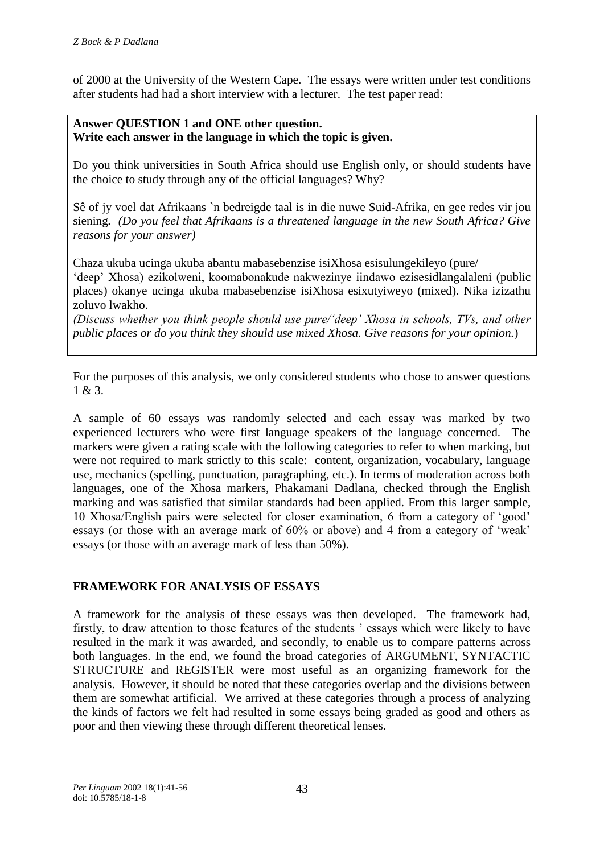of 2000 at the University of the Western Cape. The essays were written under test conditions after students had had a short interview with a lecturer. The test paper read:

#### **Answer QUESTION 1 and ONE other question. Write each answer in the language in which the topic is given.**

Do you think universities in South Africa should use English only, or should students have the choice to study through any of the official languages? Why?

Sê of jy voel dat Afrikaans `n bedreigde taal is in die nuwe Suid-Afrika, en gee redes vir jou siening*. (Do you feel that Afrikaans is a threatened language in the new South Africa? Give reasons for your answer)*

Chaza ukuba ucinga ukuba abantu mabasebenzise isiXhosa esisulungekileyo (pure/ 'deep' Xhosa) ezikolweni, koomabonakude nakwezinye iindawo ezisesidlangalaleni (public places) okanye ucinga ukuba mabasebenzise isiXhosa esixutyiweyo (mixed). Nika izizathu zoluvo lwakho.

*(Discuss whether you think people should use pure/'deep' Xhosa in schools, TVs, and other public places or do you think they should use mixed Xhosa. Give reasons for your opinion.*)

For the purposes of this analysis, we only considered students who chose to answer questions 1 & 3.

A sample of 60 essays was randomly selected and each essay was marked by two experienced lecturers who were first language speakers of the language concerned. The markers were given a rating scale with the following categories to refer to when marking, but were not required to mark strictly to this scale: content, organization, vocabulary, language use, mechanics (spelling, punctuation, paragraphing, etc.). In terms of moderation across both languages, one of the Xhosa markers, Phakamani Dadlana, checked through the English marking and was satisfied that similar standards had been applied. From this larger sample, 10 Xhosa/English pairs were selected for closer examination, 6 from a category of 'good' essays (or those with an average mark of 60% or above) and 4 from a category of 'weak' essays (or those with an average mark of less than 50%).

# **FRAMEWORK FOR ANALYSIS OF ESSAYS**

A framework for the analysis of these essays was then developed. The framework had, firstly, to draw attention to those features of the students ' essays which were likely to have resulted in the mark it was awarded, and secondly, to enable us to compare patterns across both languages. In the end, we found the broad categories of ARGUMENT, SYNTACTIC STRUCTURE and REGISTER were most useful as an organizing framework for the analysis. However, it should be noted that these categories overlap and the divisions between them are somewhat artificial. We arrived at these categories through a process of analyzing the kinds of factors we felt had resulted in some essays being graded as good and others as poor and then viewing these through different theoretical lenses.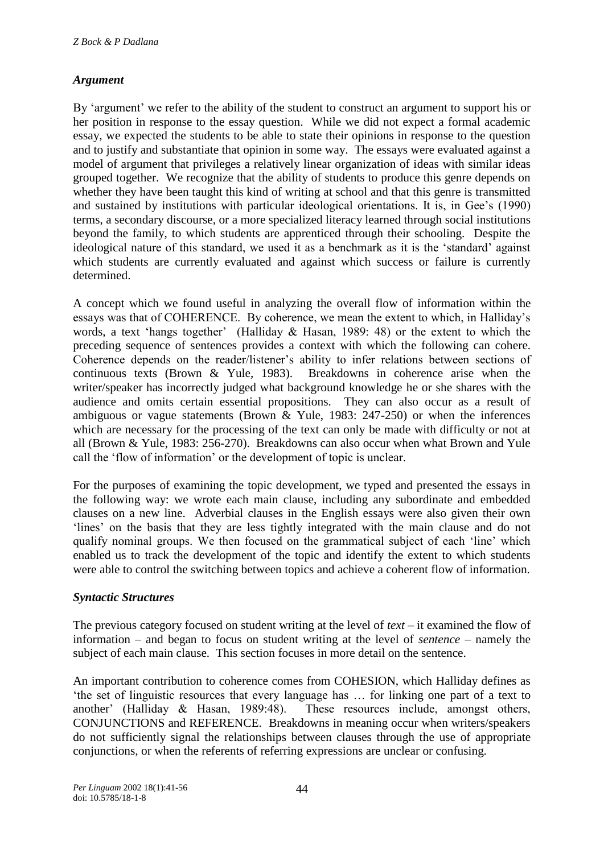## *Argument*

By 'argument' we refer to the ability of the student to construct an argument to support his or her position in response to the essay question. While we did not expect a formal academic essay, we expected the students to be able to state their opinions in response to the question and to justify and substantiate that opinion in some way. The essays were evaluated against a model of argument that privileges a relatively linear organization of ideas with similar ideas grouped together. We recognize that the ability of students to produce this genre depends on whether they have been taught this kind of writing at school and that this genre is transmitted and sustained by institutions with particular ideological orientations. It is, in Gee's (1990) terms, a secondary discourse, or a more specialized literacy learned through social institutions beyond the family, to which students are apprenticed through their schooling. Despite the ideological nature of this standard, we used it as a benchmark as it is the 'standard' against which students are currently evaluated and against which success or failure is currently determined.

A concept which we found useful in analyzing the overall flow of information within the essays was that of COHERENCE. By coherence, we mean the extent to which, in Halliday's words, a text 'hangs together' (Halliday & Hasan, 1989: 48) or the extent to which the preceding sequence of sentences provides a context with which the following can cohere. Coherence depends on the reader/listener's ability to infer relations between sections of continuous texts (Brown & Yule, 1983). Breakdowns in coherence arise when the writer/speaker has incorrectly judged what background knowledge he or she shares with the audience and omits certain essential propositions. They can also occur as a result of ambiguous or vague statements (Brown & Yule, 1983: 247-250) or when the inferences which are necessary for the processing of the text can only be made with difficulty or not at all (Brown & Yule, 1983: 256-270). Breakdowns can also occur when what Brown and Yule call the 'flow of information' or the development of topic is unclear.

For the purposes of examining the topic development, we typed and presented the essays in the following way: we wrote each main clause, including any subordinate and embedded clauses on a new line. Adverbial clauses in the English essays were also given their own 'lines' on the basis that they are less tightly integrated with the main clause and do not qualify nominal groups. We then focused on the grammatical subject of each 'line' which enabled us to track the development of the topic and identify the extent to which students were able to control the switching between topics and achieve a coherent flow of information.

## *Syntactic Structures*

The previous category focused on student writing at the level of *text* – it examined the flow of information – and began to focus on student writing at the level of *sentence* – namely the subject of each main clause*.* This section focuses in more detail on the sentence.

An important contribution to coherence comes from COHESION, which Halliday defines as 'the set of linguistic resources that every language has … for linking one part of a text to another' (Halliday & Hasan, 1989:48). These resources include, amongst others, CONJUNCTIONS and REFERENCE. Breakdowns in meaning occur when writers/speakers do not sufficiently signal the relationships between clauses through the use of appropriate conjunctions, or when the referents of referring expressions are unclear or confusing.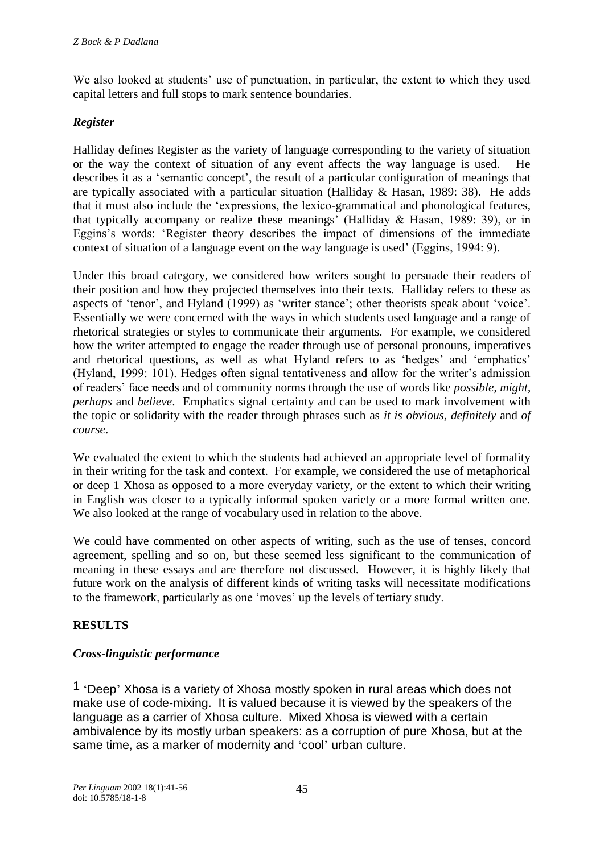We also looked at students' use of punctuation, in particular, the extent to which they used capital letters and full stops to mark sentence boundaries.

## *Register*

Halliday defines Register as the variety of language corresponding to the variety of situation or the way the context of situation of any event affects the way language is used. He describes it as a 'semantic concept', the result of a particular configuration of meanings that are typically associated with a particular situation (Halliday & Hasan, 1989: 38). He adds that it must also include the 'expressions, the lexico-grammatical and phonological features, that typically accompany or realize these meanings' (Halliday & Hasan, 1989: 39), or in Eggins's words: 'Register theory describes the impact of dimensions of the immediate context of situation of a language event on the way language is used' (Eggins, 1994: 9).

Under this broad category, we considered how writers sought to persuade their readers of their position and how they projected themselves into their texts. Halliday refers to these as aspects of 'tenor', and Hyland (1999) as 'writer stance'; other theorists speak about 'voice'. Essentially we were concerned with the ways in which students used language and a range of rhetorical strategies or styles to communicate their arguments. For example, we considered how the writer attempted to engage the reader through use of personal pronouns, imperatives and rhetorical questions, as well as what Hyland refers to as 'hedges' and 'emphatics' (Hyland, 1999: 101). Hedges often signal tentativeness and allow for the writer's admission of readers' face needs and of community norms through the use of words like *possible*, *might*, *perhaps* and *believe*. Emphatics signal certainty and can be used to mark involvement with the topic or solidarity with the reader through phrases such as *it is obvious, definitely* and *of course*.

We evaluated the extent to which the students had achieved an appropriate level of formality in their writing for the task and context. For example, we considered the use of metaphorical or deep 1 Xhosa as opposed to a more everyday variety, or the extent to which their writing in English was closer to a typically informal spoken variety or a more formal written one. We also looked at the range of vocabulary used in relation to the above.

We could have commented on other aspects of writing, such as the use of tenses, concord agreement, spelling and so on, but these seemed less significant to the communication of meaning in these essays and are therefore not discussed. However, it is highly likely that future work on the analysis of different kinds of writing tasks will necessitate modifications to the framework, particularly as one 'moves' up the levels of tertiary study.

# **RESULTS**

-

## *Cross-linguistic performance*

<sup>1</sup> 'Deep' Xhosa is a variety of Xhosa mostly spoken in rural areas which does not make use of code-mixing. It is valued because it is viewed by the speakers of the language as a carrier of Xhosa culture. Mixed Xhosa is viewed with a certain ambivalence by its mostly urban speakers: as a corruption of pure Xhosa, but at the same time, as a marker of modernity and 'cool' urban culture.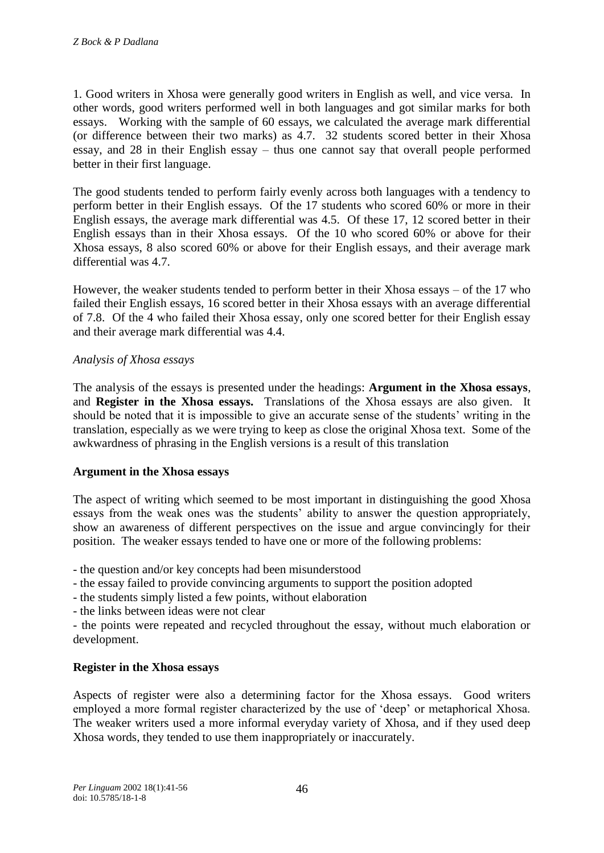1. Good writers in Xhosa were generally good writers in English as well, and vice versa. In other words, good writers performed well in both languages and got similar marks for both essays. Working with the sample of 60 essays, we calculated the average mark differential (or difference between their two marks) as 4.7. 32 students scored better in their Xhosa essay, and 28 in their English essay – thus one cannot say that overall people performed better in their first language.

The good students tended to perform fairly evenly across both languages with a tendency to perform better in their English essays. Of the 17 students who scored 60% or more in their English essays, the average mark differential was 4.5. Of these 17, 12 scored better in their English essays than in their Xhosa essays. Of the 10 who scored 60% or above for their Xhosa essays, 8 also scored 60% or above for their English essays, and their average mark differential was 4.7.

However, the weaker students tended to perform better in their Xhosa essays – of the 17 who failed their English essays, 16 scored better in their Xhosa essays with an average differential of 7.8. Of the 4 who failed their Xhosa essay, only one scored better for their English essay and their average mark differential was 4.4.

#### *Analysis of Xhosa essays*

The analysis of the essays is presented under the headings: **Argument in the Xhosa essays**, and **Register in the Xhosa essays.** Translations of the Xhosa essays are also given. It should be noted that it is impossible to give an accurate sense of the students' writing in the translation, especially as we were trying to keep as close the original Xhosa text. Some of the awkwardness of phrasing in the English versions is a result of this translation

#### **Argument in the Xhosa essays**

The aspect of writing which seemed to be most important in distinguishing the good Xhosa essays from the weak ones was the students' ability to answer the question appropriately, show an awareness of different perspectives on the issue and argue convincingly for their position. The weaker essays tended to have one or more of the following problems:

- the question and/or key concepts had been misunderstood

- the essay failed to provide convincing arguments to support the position adopted
- the students simply listed a few points, without elaboration
- the links between ideas were not clear

- the points were repeated and recycled throughout the essay, without much elaboration or development.

## **Register in the Xhosa essays**

Aspects of register were also a determining factor for the Xhosa essays. Good writers employed a more formal register characterized by the use of 'deep' or metaphorical Xhosa. The weaker writers used a more informal everyday variety of Xhosa, and if they used deep Xhosa words, they tended to use them inappropriately or inaccurately.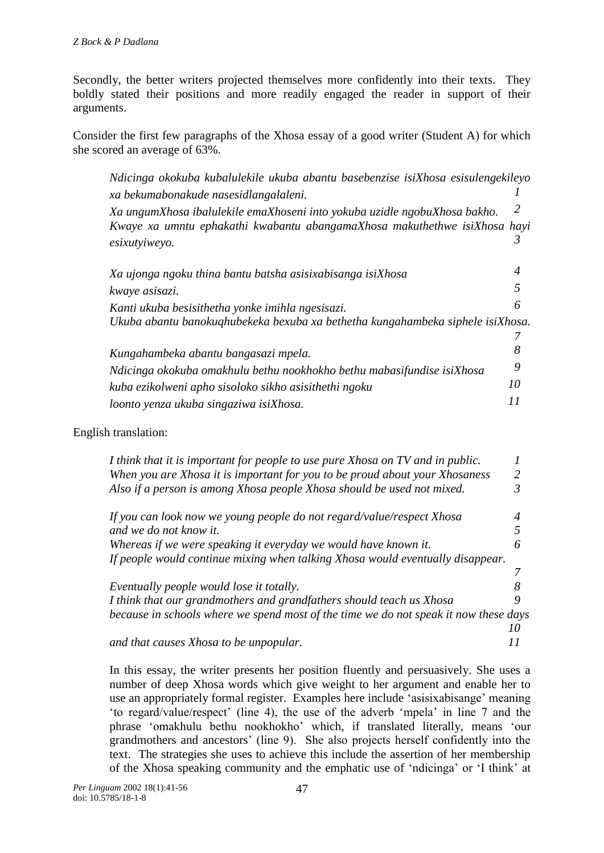Secondly, the better writers projected themselves more confidently into their texts. They boldly stated their positions and more readily engaged the reader in support of their arguments.

Consider the first few paragraphs of the Xhosa essay of a good writer (Student A) for which she scored an average of 63%.

*Ndicinga okokuba kubalulekile ukuba abantu basebenzise isiXhosa esisulengekileyo xa bekumabonakude nasesidlangalaleni. 1 Xa ungumXhosa ibalulekile emaXhoseni into yokuba uzidle ngobuXhosa bakho. 2 Kwaye xa umntu ephakathi kwabantu abangamaXhosa makuthethwe isiXhosa hayi esixutyiweyo. 3 Xa ujonga ngoku thina bantu batsha asisixabisanga isiXhosa 4 kwaye asisazi. 5 Kanti ukuba besisithetha yonke imihla ngesisazi. 6 Ukuba abantu banokuqhubekeka bexuba xa bethetha kungahambeka siphele isiXhosa. 7 Kungahambeka abantu bangasazi mpela. 8 Ndicinga okokuba omakhulu bethu nookhokho bethu mabasifundise isiXhosa 9 kuba ezikolweni apho sisoloko sikho asisithethi ngoku 10 loonto yenza ukuba singaziwa isiXhosa. 11*

#### English translation:

| I think that it is important for people to use pure Xhosa on TV and in public.       |   |
|--------------------------------------------------------------------------------------|---|
| When you are Xhosa it is important for you to be proud about your Xhosaness          | 2 |
| Also if a person is among Xhosa people Xhosa should be used not mixed.               |   |
| If you can look now we young people do not regard/value/respect Xhosa                |   |
| and we do not know it.                                                               |   |
| Whereas if we were speaking it everyday we would have known it.                      | 6 |
| If people would continue mixing when talking Xhosa would eventually disappear.       |   |
|                                                                                      |   |
| Eventually people would lose it totally.                                             |   |
| I think that our grandmothers and grandfathers should teach us Xhosa                 | 9 |
| because in schools where we spend most of the time we do not speak it now these days |   |
|                                                                                      |   |
| and that causes Xhosa to be unpopular.                                               |   |

In this essay, the writer presents her position fluently and persuasively. She uses a number of deep Xhosa words which give weight to her argument and enable her to use an appropriately formal register. Examples here include 'asisixabisange' meaning 'to regard/value/respect' (line 4), the use of the adverb 'mpela' in line 7 and the phrase 'omakhulu bethu nookhokho' which, if translated literally, means 'our grandmothers and ancestors' (line 9). She also projects herself confidently into the text. The strategies she uses to achieve this include the assertion of her membership of the Xhosa speaking community and the emphatic use of 'ndicinga' or 'I think' at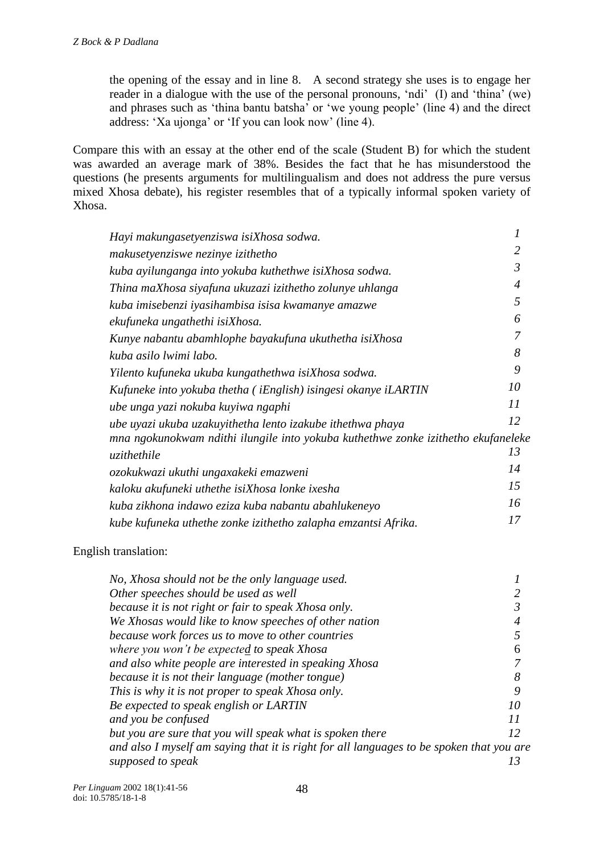the opening of the essay and in line 8. A second strategy she uses is to engage her reader in a dialogue with the use of the personal pronouns, 'ndi' (I) and 'thina' (we) and phrases such as 'thina bantu batsha' or 'we young people' (line 4) and the direct address: 'Xa ujonga' or 'If you can look now' (line 4).

Compare this with an essay at the other end of the scale (Student B) for which the student was awarded an average mark of 38%. Besides the fact that he has misunderstood the questions (he presents arguments for multilingualism and does not address the pure versus mixed Xhosa debate), his register resembles that of a typically informal spoken variety of Xhosa.

| Hayi makungasetyenziswa isiXhosa sodwa.                                           |                |
|-----------------------------------------------------------------------------------|----------------|
| makusetyenziswe nezinye izithetho                                                 | 2              |
| kuba ayilunganga into yokuba kuthethwe isiXhosa sodwa.                            | $\mathfrak{Z}$ |
| Thina maXhosa siyafuna ukuzazi izithetho zolunye uhlanga                          | $\overline{4}$ |
| kuba imisebenzi iyasihambisa isisa kwamanye amazwe                                | 5              |
| ekufuneka ungathethi isiXhosa.                                                    | 6              |
| Kunye nabantu abamhlophe bayakufuna ukuthetha isiXhosa                            | 7              |
| kuba asilo lwimi labo.                                                            | 8              |
| Yilento kufuneka ukuba kungathethwa isiXhosa sodwa.                               | 9              |
| Kufuneke into yokuba thetha (iEnglish) isingesi okanye iLARTIN                    | 10             |
| ube unga yazi nokuba kuyiwa ngaphi                                                | II             |
| ube uyazi ukuba uzakuyithetha lento izakube ithethwa phaya                        | 12             |
| mna ngokunokwam ndithi ilungile into yokuba kuthethwe zonke izithetho ekufaneleke |                |
| uzithethile                                                                       | 13             |
| ozokukwazi ukuthi ungaxakeki emazweni                                             | 14             |
| kaloku akufuneki uthethe isiXhosa lonke ixesha                                    | 15             |
| kuba zikhona indawo eziza kuba nabantu abahlukeneyo                               | 16             |
| kube kufuneka uthethe zonke izithetho zalapha emzantsi Afrika.                    | 17             |

#### English translation:

| No, Xhosa should not be the only language used.                                          |    |
|------------------------------------------------------------------------------------------|----|
| Other speeches should be used as well                                                    |    |
| because it is not right or fair to speak Xhosa only.                                     |    |
| We Xhosas would like to know speeches of other nation                                    |    |
| because work forces us to move to other countries                                        |    |
| where you won't be expected to speak Xhosa                                               | n  |
| and also white people are interested in speaking Xhosa                                   |    |
| because it is not their language (mother tongue)                                         | 8  |
| This is why it is not proper to speak Xhosa only.                                        | 9  |
| Be expected to speak english or LARTIN                                                   | 10 |
| and you be confused                                                                      | 11 |
| but you are sure that you will speak what is spoken there                                | 12 |
| and also I myself am saying that it is right for all languages to be spoken that you are |    |
| supposed to speak                                                                        |    |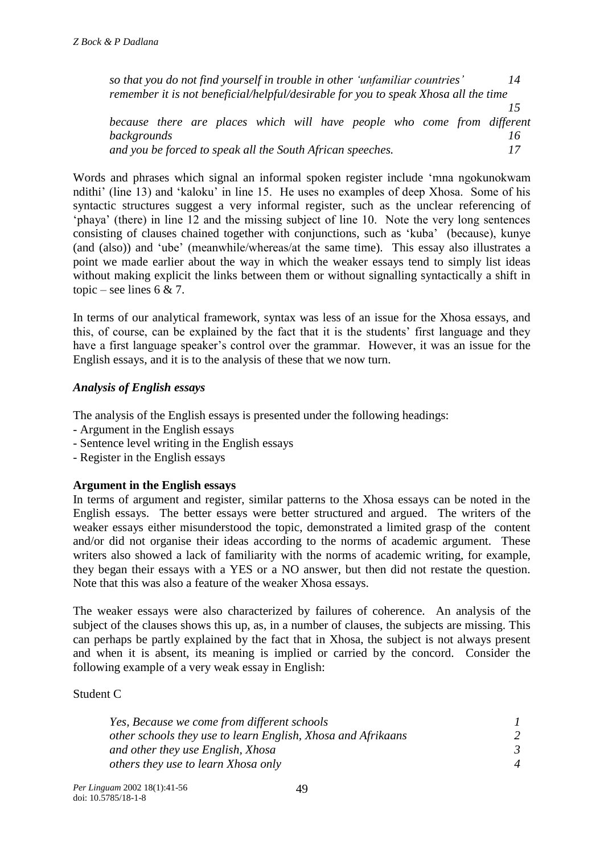*so that you do not find yourself in trouble in other 'unfamiliar countries' 14 remember it is not beneficial/helpful/desirable for you to speak Xhosa all the time 15 because there are places which will have people who come from different backgrounds*<br>and you be forced to speak all the South African speeches. **17** *and you be forced to speak all the South African speeches. 17*

Words and phrases which signal an informal spoken register include 'mna ngokunokwam ndithi' (line 13) and 'kaloku' in line 15. He uses no examples of deep Xhosa. Some of his syntactic structures suggest a very informal register, such as the unclear referencing of 'phaya' (there) in line 12 and the missing subject of line 10. Note the very long sentences consisting of clauses chained together with conjunctions, such as 'kuba' (because), kunye (and (also)) and 'ube' (meanwhile/whereas/at the same time). This essay also illustrates a point we made earlier about the way in which the weaker essays tend to simply list ideas without making explicit the links between them or without signalling syntactically a shift in topic – see lines  $6 & 7$ .

In terms of our analytical framework, syntax was less of an issue for the Xhosa essays, and this, of course, can be explained by the fact that it is the students' first language and they have a first language speaker's control over the grammar. However, it was an issue for the English essays, and it is to the analysis of these that we now turn.

## *Analysis of English essays*

The analysis of the English essays is presented under the following headings:

- Argument in the English essays
- Sentence level writing in the English essays
- Register in the English essays

## **Argument in the English essays**

In terms of argument and register, similar patterns to the Xhosa essays can be noted in the English essays. The better essays were better structured and argued. The writers of the weaker essays either misunderstood the topic, demonstrated a limited grasp of the content and/or did not organise their ideas according to the norms of academic argument. These writers also showed a lack of familiarity with the norms of academic writing, for example, they began their essays with a YES or a NO answer, but then did not restate the question. Note that this was also a feature of the weaker Xhosa essays.

The weaker essays were also characterized by failures of coherence. An analysis of the subject of the clauses shows this up, as, in a number of clauses, the subjects are missing. This can perhaps be partly explained by the fact that in Xhosa, the subject is not always present and when it is absent, its meaning is implied or carried by the concord. Consider the following example of a very weak essay in English:

Student C

| Yes, Because we come from different schools                  |  |
|--------------------------------------------------------------|--|
| other schools they use to learn English, Xhosa and Afrikaans |  |
| and other they use English, Xhosa                            |  |
| others they use to learn Xhosa only                          |  |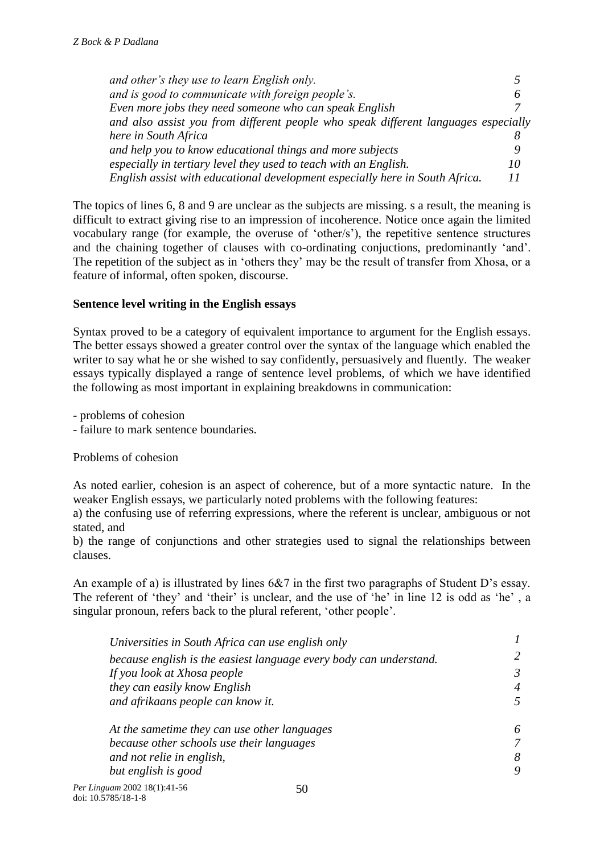*and other's they use to learn English only. 5 and is good to communicate with foreign people's. 6 Even more jobs they need someone who can speak English and also assist you from different people who speak different languages especially here in South Africa*<br>*8*<br>*9 and help you to know educational things and more subiects and help you to know educational things and more subjects 9 especially in tertiary level they used to teach with an English. 10 English assist with educational development especially here in South Africa. 11*

The topics of lines 6, 8 and 9 are unclear as the subjects are missing. s a result, the meaning is difficult to extract giving rise to an impression of incoherence. Notice once again the limited vocabulary range (for example, the overuse of 'other/s'), the repetitive sentence structures and the chaining together of clauses with co-ordinating conjuctions, predominantly 'and'. The repetition of the subject as in 'others they' may be the result of transfer from Xhosa, or a feature of informal, often spoken, discourse.

## **Sentence level writing in the English essays**

Syntax proved to be a category of equivalent importance to argument for the English essays. The better essays showed a greater control over the syntax of the language which enabled the writer to say what he or she wished to say confidently, persuasively and fluently. The weaker essays typically displayed a range of sentence level problems, of which we have identified the following as most important in explaining breakdowns in communication:

- problems of cohesion

- failure to mark sentence boundaries.

Problems of cohesion

As noted earlier, cohesion is an aspect of coherence, but of a more syntactic nature. In the weaker English essays, we particularly noted problems with the following features:

a) the confusing use of referring expressions, where the referent is unclear, ambiguous or not stated, and

b) the range of conjunctions and other strategies used to signal the relationships between clauses.

An example of a) is illustrated by lines 6&7 in the first two paragraphs of Student D's essay. The referent of 'they' and 'their' is unclear, and the use of 'he' in line 12 is odd as 'he' , a singular pronoun, refers back to the plural referent, 'other people'.

| Universities in South Africa can use english only                  |   |
|--------------------------------------------------------------------|---|
| because english is the easiest language every body can understand. |   |
| If you look at Xhosa people                                        | 3 |
| they can easily know English                                       |   |
| and afrikaans people can know it.                                  |   |
| At the sametime they can use other languages                       |   |
| because other schools use their languages                          |   |
| and not relie in english,                                          | 8 |
| but english is good                                                |   |
| $au$ an 2002 18(1) $\cdot$ 41 56                                   |   |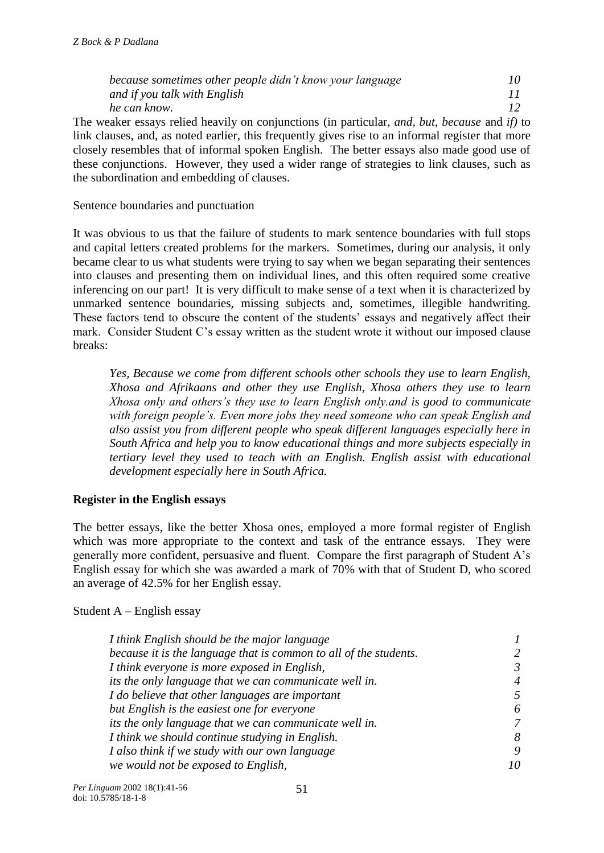| because sometimes other people didn't know your language |  |  |  |  |  |  |
|----------------------------------------------------------|--|--|--|--|--|--|
| and if you talk with English                             |  |  |  |  |  |  |
| he can know.                                             |  |  |  |  |  |  |
|                                                          |  |  |  |  |  |  |

The weaker essays relied heavily on conjunctions (in particular, *and, but, because* and *if)* to link clauses, and, as noted earlier, this frequently gives rise to an informal register that more closely resembles that of informal spoken English. The better essays also made good use of these conjunctions. However, they used a wider range of strategies to link clauses, such as the subordination and embedding of clauses.

Sentence boundaries and punctuation

It was obvious to us that the failure of students to mark sentence boundaries with full stops and capital letters created problems for the markers. Sometimes, during our analysis, it only became clear to us what students were trying to say when we began separating their sentences into clauses and presenting them on individual lines, and this often required some creative inferencing on our part! It is very difficult to make sense of a text when it is characterized by unmarked sentence boundaries, missing subjects and, sometimes, illegible handwriting. These factors tend to obscure the content of the students' essays and negatively affect their mark. Consider Student C's essay written as the student wrote it without our imposed clause breaks:

*Yes, Because we come from different schools other schools they use to learn English, Xhosa and Afrikaans and other they use English, Xhosa others they use to learn Xhosa only and others's they use to learn English only.and is good to communicate with foreign people's. Even more jobs they need someone who can speak English and also assist you from different people who speak different languages especially here in South Africa and help you to know educational things and more subjects especially in tertiary level they used to teach with an English. English assist with educational development especially here in South Africa.*

## **Register in the English essays**

The better essays, like the better Xhosa ones, employed a more formal register of English which was more appropriate to the context and task of the entrance essays. They were generally more confident, persuasive and fluent. Compare the first paragraph of Student A's English essay for which she was awarded a mark of 70% with that of Student D, who scored an average of 42.5% for her English essay.

#### Student  $A$  – English essay

| I think English should be the major language                      |   |  |  |
|-------------------------------------------------------------------|---|--|--|
| because it is the language that is common to all of the students. |   |  |  |
| I think everyone is more exposed in English,                      | 3 |  |  |
| its the only language that we can communicate well in.            | 4 |  |  |
| I do believe that other languages are important                   |   |  |  |
| but English is the easiest one for everyone                       | 6 |  |  |
| its the only language that we can communicate well in.            | 7 |  |  |
| I think we should continue studying in English.                   | 8 |  |  |
| I also think if we study with our own language                    | 9 |  |  |
| we would not be exposed to English,                               |   |  |  |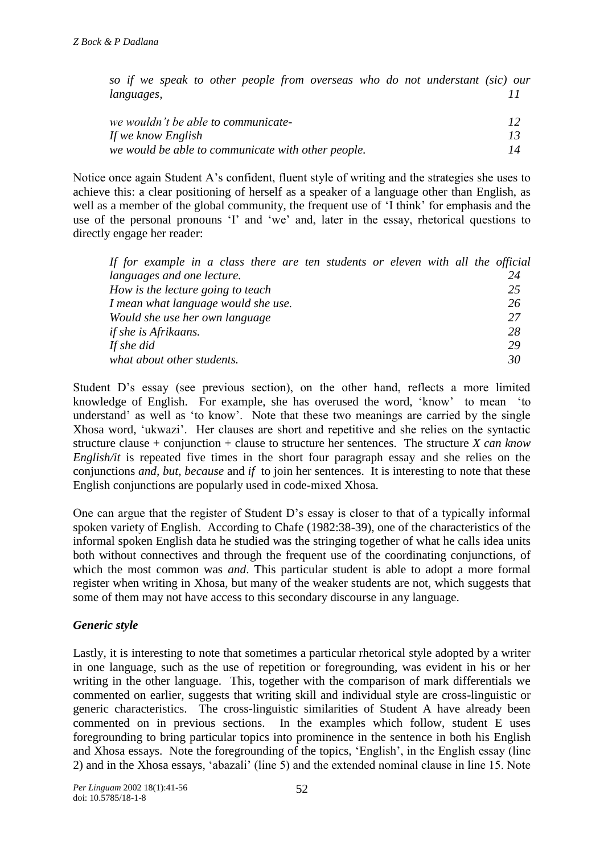*so if we speak to other people from overseas who do not understant (sic) our languages, 11*

| we wouldn't be able to communicate-                |    |
|----------------------------------------------------|----|
| If we know English                                 |    |
| we would be able to communicate with other people. | 14 |

Notice once again Student A's confident, fluent style of writing and the strategies she uses to achieve this: a clear positioning of herself as a speaker of a language other than English, as well as a member of the global community, the frequent use of 'I think' for emphasis and the use of the personal pronouns 'I' and 'we' and, later in the essay, rhetorical questions to directly engage her reader:

| If for example in a class there are ten students or eleven with all the official |    |
|----------------------------------------------------------------------------------|----|
| <i>languages and one lecture.</i>                                                | 24 |
| How is the lecture going to teach                                                | 25 |
| I mean what language would she use.                                              | 26 |
| Would she use her own language                                                   | 27 |
| <i>if she is Afrikaans.</i>                                                      | 28 |
| If she did                                                                       | 29 |
| what about other students.                                                       | 30 |

Student D's essay (see previous section), on the other hand, reflects a more limited knowledge of English. For example, she has overused the word, 'know' to mean 'to understand' as well as 'to know'. Note that these two meanings are carried by the single Xhosa word, 'ukwazi'. Her clauses are short and repetitive and she relies on the syntactic structure clause + conjunction + clause to structure her sentences. The structure *X can know English/it* is repeated five times in the short four paragraph essay and she relies on the conjunctions *and, but, because* and *if* to join her sentences. It is interesting to note that these English conjunctions are popularly used in code-mixed Xhosa.

One can argue that the register of Student D's essay is closer to that of a typically informal spoken variety of English. According to Chafe (1982:38-39), one of the characteristics of the informal spoken English data he studied was the stringing together of what he calls idea units both without connectives and through the frequent use of the coordinating conjunctions, of which the most common was *and*. This particular student is able to adopt a more formal register when writing in Xhosa, but many of the weaker students are not, which suggests that some of them may not have access to this secondary discourse in any language.

## *Generic style*

Lastly, it is interesting to note that sometimes a particular rhetorical style adopted by a writer in one language, such as the use of repetition or foregrounding, was evident in his or her writing in the other language. This, together with the comparison of mark differentials we commented on earlier, suggests that writing skill and individual style are cross-linguistic or generic characteristics. The cross-linguistic similarities of Student A have already been commented on in previous sections. In the examples which follow, student E uses foregrounding to bring particular topics into prominence in the sentence in both his English and Xhosa essays. Note the foregrounding of the topics, 'English', in the English essay (line 2) and in the Xhosa essays, 'abazali' (line 5) and the extended nominal clause in line 15. Note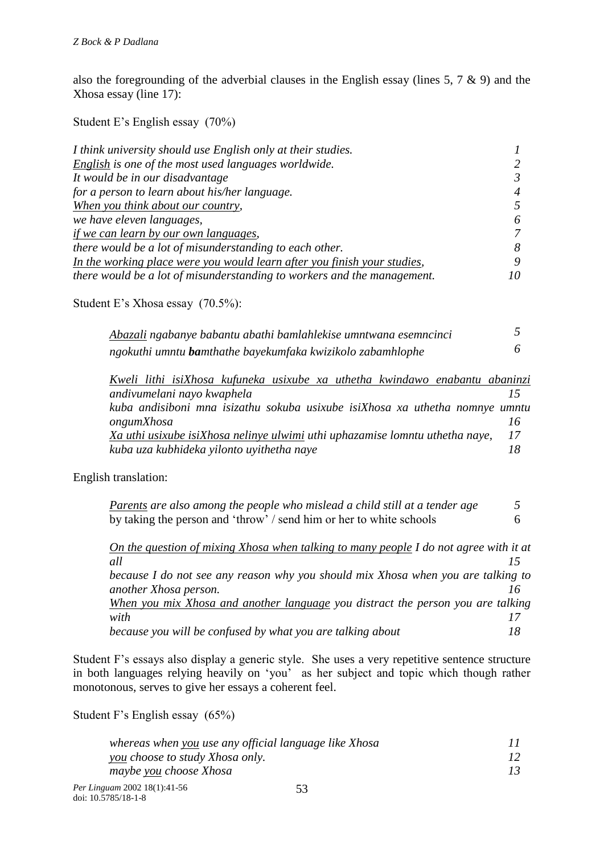also the foregrounding of the adverbial clauses in the English essay (lines 5, 7 & 9) and the Xhosa essay (line 17):

Student E's English essay (70%)

| I think university should use English only at their studies.             |                |
|--------------------------------------------------------------------------|----------------|
| English is one of the most used languages worldwide.                     | $\mathcal{L}$  |
| It would be in our disadvantage                                          | 3              |
| for a person to learn about his/her language.                            | $\overline{4}$ |
| When you think about our country,                                        | 5              |
| we have eleven languages,                                                | 6              |
| if we can learn by our own languages,                                    | 7              |
| there would be a lot of misunderstanding to each other.                  | 8              |
| In the working place were you would learn after you finish your studies, | 9              |
| there would be a lot of misunderstanding to workers and the management.  | 10             |

Student E's Xhosa essay (70.5%):

| Abazali ngabanye babantu abathi bamlahlekise umntwana esemncinci   |  |
|--------------------------------------------------------------------|--|
| ngokuthi umntu <b>ba</b> mthathe bayekumfaka kwizikolo zabamhlophe |  |

|            |                            |                                           |  | Kweli lithi isiXhosa kufuneka usixube xa uthetha kwindawo enabantu abaninzi  |     |
|------------|----------------------------|-------------------------------------------|--|------------------------------------------------------------------------------|-----|
|            | andivumelani nayo kwaphela |                                           |  |                                                                              |     |
|            |                            |                                           |  | kuba andisiboni mna isizathu sokuba usixube isiXhosa xa uthetha nomnye umntu |     |
| ongumXhosa |                            |                                           |  |                                                                              |     |
|            |                            |                                           |  | Xa uthi usixube isiXhosa nelinye ulwimi uthi uphazamise lomntu uthetha naye, | -17 |
|            |                            | kuba uza kubhideka yilonto uyithetha naye |  |                                                                              | 18  |

English translation:

| Parents are also among the people who mislead a child still at a tender age |  |
|-----------------------------------------------------------------------------|--|
| by taking the person and 'throw' / send him or her to white schools         |  |

| On the question of mixing Xhosa when talking to many people I do not agree with it at |    |
|---------------------------------------------------------------------------------------|----|
| all                                                                                   |    |
| because I do not see any reason why you should mix Xhosa when you are talking to      |    |
| another Xhosa person.                                                                 |    |
| When you mix Xhosa and another language you distract the person you are talking       |    |
| with                                                                                  |    |
| because you will be confused by what you are talking about                            | 18 |

Student F's essays also display a generic style. She uses a very repetitive sentence structure in both languages relying heavily on 'you' as her subject and topic which though rather monotonous, serves to give her essays a coherent feel.

Student F's English essay (65%)

| whereas when you use any official language like Xhosa |  |
|-------------------------------------------------------|--|
| <u>you</u> choose to study Xhosa only.                |  |
| maybe you choose Xhosa                                |  |
| 0.000110111777                                        |  |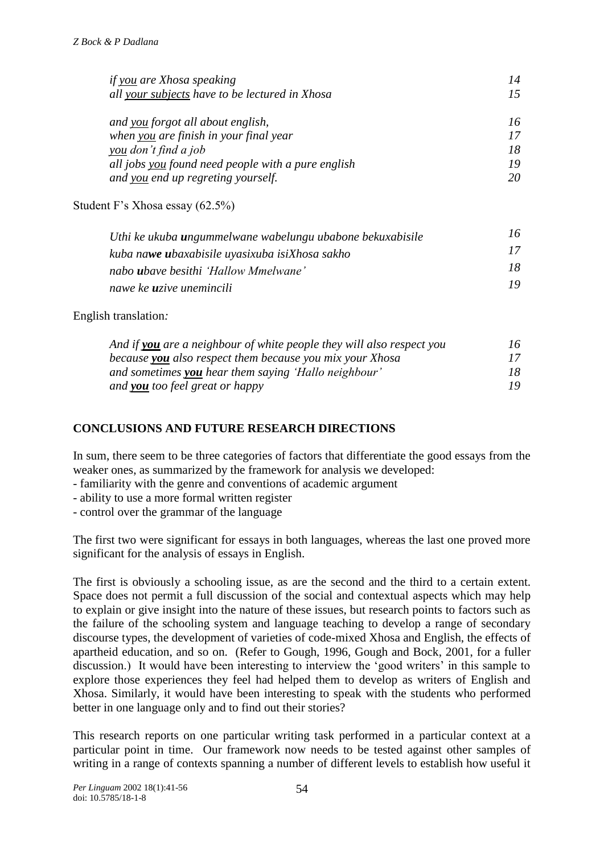| if you are Xhosa speaking                          |    |
|----------------------------------------------------|----|
| all your subjects have to be lectured in Xhosa     | 75 |
|                                                    |    |
| and you forgot all about english,                  | 16 |
| when you are finish in your final year             |    |
| you don't find a job                               | 18 |
| all jobs you found need people with a pure english | 19 |
| and you end up regreting yourself.                 | 20 |
|                                                    |    |

Student F's Xhosa essay (62.5%)

| Uthi ke ukuba <b>u</b> ngummelwane wabelungu ubabone bekuxabisile | 76. |
|-------------------------------------------------------------------|-----|
| kuba nawe ubaxabisile uyasixuba isiXhosa sakho                    | 17  |
| nabo <b>u</b> bave besithi 'Hallow Mmelwane'                      | 18  |
| nawe ke <b>u</b> zive unemincili                                  | 1Q. |

#### English translation*:*

| And if you are a neighbour of white people they will also respect you | 76. |
|-----------------------------------------------------------------------|-----|
| because <b>you</b> also respect them because you mix your Xhosa       | 17. |
| and sometimes you hear them saying 'Hallo neighbour'                  | 18  |
| and <b>you</b> too feel great or happy                                |     |

## **CONCLUSIONS AND FUTURE RESEARCH DIRECTIONS**

In sum, there seem to be three categories of factors that differentiate the good essays from the weaker ones, as summarized by the framework for analysis we developed:

- familiarity with the genre and conventions of academic argument
- ability to use a more formal written register
- control over the grammar of the language

The first two were significant for essays in both languages, whereas the last one proved more significant for the analysis of essays in English.

The first is obviously a schooling issue, as are the second and the third to a certain extent. Space does not permit a full discussion of the social and contextual aspects which may help to explain or give insight into the nature of these issues, but research points to factors such as the failure of the schooling system and language teaching to develop a range of secondary discourse types, the development of varieties of code-mixed Xhosa and English, the effects of apartheid education, and so on. (Refer to Gough, 1996, Gough and Bock, 2001, for a fuller discussion.) It would have been interesting to interview the 'good writers' in this sample to explore those experiences they feel had helped them to develop as writers of English and Xhosa. Similarly, it would have been interesting to speak with the students who performed better in one language only and to find out their stories?

This research reports on one particular writing task performed in a particular context at a particular point in time. Our framework now needs to be tested against other samples of writing in a range of contexts spanning a number of different levels to establish how useful it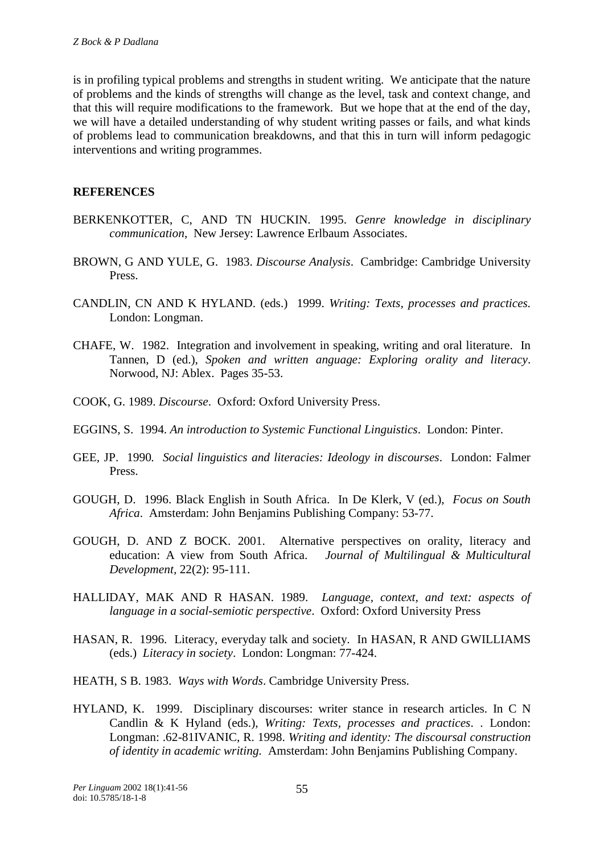is in profiling typical problems and strengths in student writing. We anticipate that the nature of problems and the kinds of strengths will change as the level, task and context change, and that this will require modifications to the framework. But we hope that at the end of the day, we will have a detailed understanding of why student writing passes or fails, and what kinds of problems lead to communication breakdowns, and that this in turn will inform pedagogic interventions and writing programmes.

#### **REFERENCES**

- BERKENKOTTER, C, AND TN HUCKIN. 1995. *Genre knowledge in disciplinary communication*, New Jersey: Lawrence Erlbaum Associates.
- BROWN, G AND YULE, G. 1983. *Discourse Analysis*. Cambridge: Cambridge University Press.
- CANDLIN, CN AND K HYLAND. (eds.) 1999. *Writing: Texts, processes and practices.* London: Longman.
- CHAFE, W. 1982. Integration and involvement in speaking, writing and oral literature. In Tannen, D (ed.), *Spoken and written anguage: Exploring orality and literacy*. Norwood, NJ: Ablex. Pages 35-53.
- COOK, G. 1989. *Discourse*. Oxford: Oxford University Press.
- EGGINS, S. 1994. *An introduction to Systemic Functional Linguistics*. London: Pinter.
- GEE, JP. 1990*. Social linguistics and literacies: Ideology in discourses*. London: Falmer Press.
- GOUGH, D. 1996. Black English in South Africa. In De Klerk, V (ed.), *Focus on South Africa*. Amsterdam: John Benjamins Publishing Company: 53-77.
- GOUGH, D. AND Z BOCK. 2001. Alternative perspectives on orality, literacy and education: A view from South Africa. *Journal of Multilingual & Multicultural Development,* 22(2): 95-111.
- HALLIDAY, MAK AND R HASAN. 1989. *Language, context, and text: aspects of language in a social-semiotic perspective*. Oxford: Oxford University Press
- HASAN, R. 1996. Literacy, everyday talk and society. In HASAN, R AND GWILLIAMS (eds.) *Literacy in society*. London: Longman: 77-424.
- HEATH, S B. 1983. *Ways with Words*. Cambridge University Press.
- HYLAND, K. 1999. Disciplinary discourses: writer stance in research articles. In C N Candlin & K Hyland (eds.), *Writing: Texts, processes and practices*. . London: Longman: .62-81IVANIC, R. 1998. *Writing and identity: The discoursal construction of identity in academic writing.* Amsterdam: John Benjamins Publishing Company.